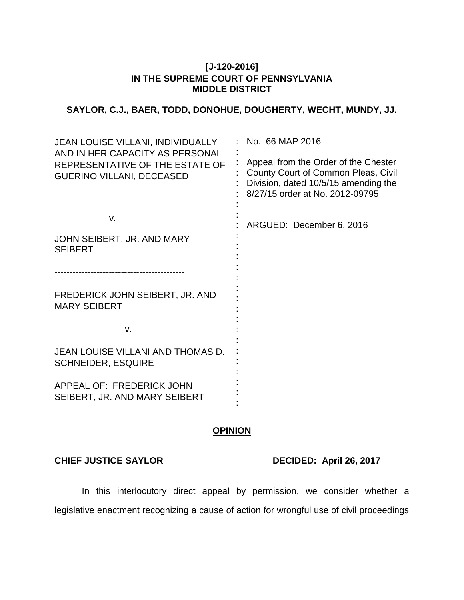### **[J-120-2016] IN THE SUPREME COURT OF PENNSYLVANIA MIDDLE DISTRICT**

# **SAYLOR, C.J., BAER, TODD, DONOHUE, DOUGHERTY, WECHT, MUNDY, JJ.**

| <b>JEAN LOUISE VILLANI, INDIVIDUALLY</b><br>AND IN HER CAPACITY AS PERSONAL<br>REPRESENTATIVE OF THE ESTATE OF<br><b>GUERINO VILLANI, DECEASED</b> | No. 66 MAP 2016<br>Appeal from the Order of the Chester<br>County Court of Common Pleas, Civil<br>Division, dated 10/5/15 amending the<br>8/27/15 order at No. 2012-09795 |
|----------------------------------------------------------------------------------------------------------------------------------------------------|---------------------------------------------------------------------------------------------------------------------------------------------------------------------------|
| v.                                                                                                                                                 | ARGUED: December 6, 2016                                                                                                                                                  |
| JOHN SEIBERT, JR. AND MARY<br><b>SEIBERT</b>                                                                                                       |                                                                                                                                                                           |
|                                                                                                                                                    |                                                                                                                                                                           |
| FREDERICK JOHN SEIBERT, JR. AND<br><b>MARY SEIBERT</b>                                                                                             |                                                                                                                                                                           |
| v.                                                                                                                                                 |                                                                                                                                                                           |
| JEAN LOUISE VILLANI AND THOMAS D.<br><b>SCHNEIDER, ESQUIRE</b>                                                                                     |                                                                                                                                                                           |
| APPEAL OF: FREDERICK JOHN<br>SEIBERT, JR. AND MARY SEIBERT                                                                                         |                                                                                                                                                                           |

## **OPINION**

### **CHIEF JUSTICE SAYLOR DECIDED: April 26, 2017**

In this interlocutory direct appeal by permission, we consider whether a legislative enactment recognizing a cause of action for wrongful use of civil proceedings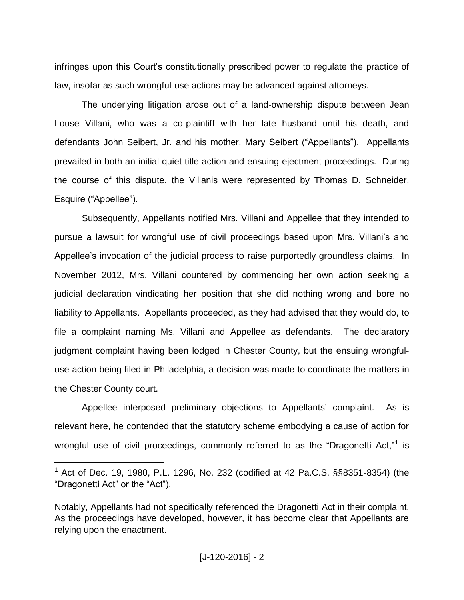infringes upon this Court"s constitutionally prescribed power to regulate the practice of law, insofar as such wrongful-use actions may be advanced against attorneys.

The underlying litigation arose out of a land-ownership dispute between Jean Louse Villani, who was a co-plaintiff with her late husband until his death, and defendants John Seibert, Jr. and his mother, Mary Seibert ("Appellants"). Appellants prevailed in both an initial quiet title action and ensuing ejectment proceedings. During the course of this dispute, the Villanis were represented by Thomas D. Schneider, Esquire ("Appellee").

Subsequently, Appellants notified Mrs. Villani and Appellee that they intended to pursue a lawsuit for wrongful use of civil proceedings based upon Mrs. Villani"s and Appellee"s invocation of the judicial process to raise purportedly groundless claims. In November 2012, Mrs. Villani countered by commencing her own action seeking a judicial declaration vindicating her position that she did nothing wrong and bore no liability to Appellants. Appellants proceeded, as they had advised that they would do, to file a complaint naming Ms. Villani and Appellee as defendants. The declaratory judgment complaint having been lodged in Chester County, but the ensuing wrongfuluse action being filed in Philadelphia, a decision was made to coordinate the matters in the Chester County court.

Appellee interposed preliminary objections to Appellants' complaint. As is relevant here, he contended that the statutory scheme embodying a cause of action for wrongful use of civil proceedings, commonly referred to as the "Dragonetti Act,"<sup>1</sup> is

 $1$  Act of Dec. 19, 1980, P.L. 1296, No. 232 (codified at 42 Pa.C.S. §§8351-8354) (the "Dragonetti Act" or the "Act").

Notably, Appellants had not specifically referenced the Dragonetti Act in their complaint. As the proceedings have developed, however, it has become clear that Appellants are relying upon the enactment.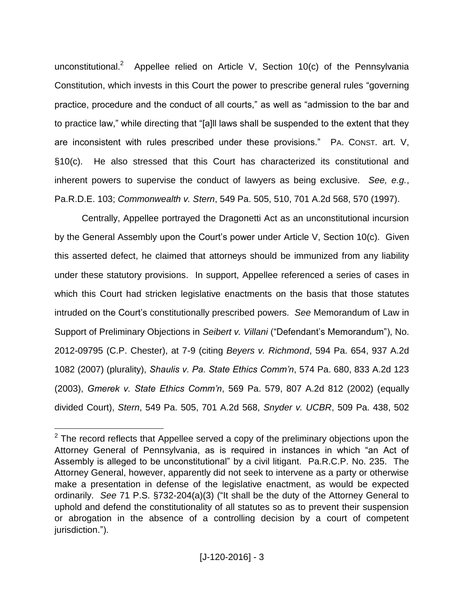unconstitutional.<sup>2</sup> Appellee relied on Article V, Section 10(c) of the Pennsylvania Constitution, which invests in this Court the power to prescribe general rules "governing practice, procedure and the conduct of all courts," as well as "admission to the bar and to practice law," while directing that "[a]ll laws shall be suspended to the extent that they are inconsistent with rules prescribed under these provisions." PA. CONST. art. V, §10(c). He also stressed that this Court has characterized its constitutional and inherent powers to supervise the conduct of lawyers as being exclusive. *See, e.g.*, Pa.R.D.E. 103; *Commonwealth v. Stern*, 549 Pa. 505, 510, 701 A.2d 568, 570 (1997).

Centrally, Appellee portrayed the Dragonetti Act as an unconstitutional incursion by the General Assembly upon the Court"s power under Article V, Section 10(c). Given this asserted defect, he claimed that attorneys should be immunized from any liability under these statutory provisions. In support, Appellee referenced a series of cases in which this Court had stricken legislative enactments on the basis that those statutes intruded on the Court"s constitutionally prescribed powers. *See* Memorandum of Law in Support of Preliminary Objections in *Seibert v. Villani* ("Defendant"s Memorandum"), No. 2012-09795 (C.P. Chester), at 7-9 (citing *Beyers v. Richmond*, 594 Pa. 654, 937 A.2d 1082 (2007) (plurality), *Shaulis v. Pa. State Ethics Comm'n*, 574 Pa. 680, 833 A.2d 123 (2003), *Gmerek v. State Ethics Comm'n*, 569 Pa. 579, 807 A.2d 812 (2002) (equally divided Court), *Stern*, 549 Pa. 505, 701 A.2d 568, *Snyder v. UCBR*, 509 Pa. 438, 502

 $2$  The record reflects that Appellee served a copy of the preliminary objections upon the Attorney General of Pennsylvania, as is required in instances in which "an Act of Assembly is alleged to be unconstitutional" by a civil litigant. Pa.R.C.P. No. 235. The Attorney General, however, apparently did not seek to intervene as a party or otherwise make a presentation in defense of the legislative enactment, as would be expected ordinarily. *See* 71 P.S. §732-204(a)(3) ("It shall be the duty of the Attorney General to uphold and defend the constitutionality of all statutes so as to prevent their suspension or abrogation in the absence of a controlling decision by a court of competent jurisdiction.").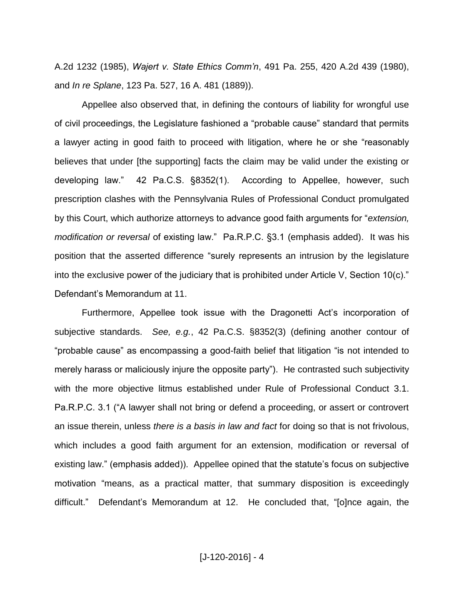A.2d 1232 (1985), *Wajert v. State Ethics Comm'n*, 491 Pa. 255, 420 A.2d 439 (1980), and *In re Splane*, 123 Pa. 527, 16 A. 481 (1889)).

Appellee also observed that, in defining the contours of liability for wrongful use of civil proceedings, the Legislature fashioned a "probable cause" standard that permits a lawyer acting in good faith to proceed with litigation, where he or she "reasonably believes that under [the supporting] facts the claim may be valid under the existing or developing law." 42 Pa.C.S. §8352(1). According to Appellee, however, such prescription clashes with the Pennsylvania Rules of Professional Conduct promulgated by this Court, which authorize attorneys to advance good faith arguments for "*extension, modification or reversal* of existing law." Pa.R.P.C. §3.1 (emphasis added). It was his position that the asserted difference "surely represents an intrusion by the legislature into the exclusive power of the judiciary that is prohibited under Article V, Section 10(c)." Defendant"s Memorandum at 11.

Furthermore, Appellee took issue with the Dragonetti Act's incorporation of subjective standards. *See, e.g.*, 42 Pa.C.S. §8352(3) (defining another contour of "probable cause" as encompassing a good-faith belief that litigation "is not intended to merely harass or maliciously injure the opposite party"). He contrasted such subjectivity with the more objective litmus established under Rule of Professional Conduct 3.1. Pa.R.P.C. 3.1 ("A lawyer shall not bring or defend a proceeding, or assert or controvert an issue therein, unless *there is a basis in law and fact* for doing so that is not frivolous, which includes a good faith argument for an extension, modification or reversal of existing law." (emphasis added)). Appellee opined that the statute's focus on subjective motivation "means, as a practical matter, that summary disposition is exceedingly difficult." Defendant"s Memorandum at 12. He concluded that, "[o]nce again, the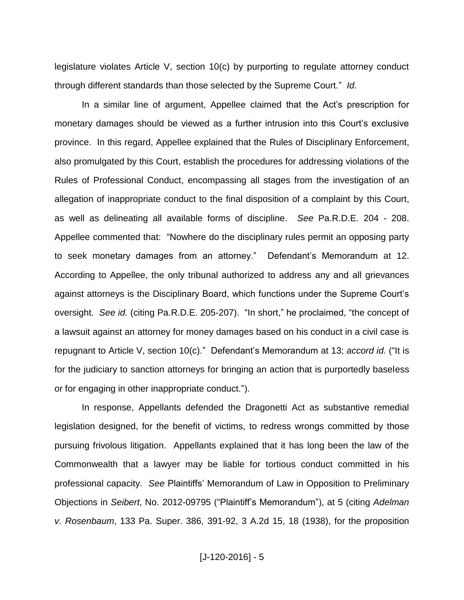legislature violates Article V, section 10(c) by purporting to regulate attorney conduct through different standards than those selected by the Supreme Court." *Id.*

In a similar line of argument, Appellee claimed that the Act"s prescription for monetary damages should be viewed as a further intrusion into this Court"s exclusive province. In this regard, Appellee explained that the Rules of Disciplinary Enforcement, also promulgated by this Court, establish the procedures for addressing violations of the Rules of Professional Conduct, encompassing all stages from the investigation of an allegation of inappropriate conduct to the final disposition of a complaint by this Court, as well as delineating all available forms of discipline. *See* Pa.R.D.E. 204 - 208. Appellee commented that: "Nowhere do the disciplinary rules permit an opposing party to seek monetary damages from an attorney." Defendant"s Memorandum at 12. According to Appellee, the only tribunal authorized to address any and all grievances against attorneys is the Disciplinary Board, which functions under the Supreme Court"s oversight. *See id.* (citing Pa.R.D.E. 205-207). "In short," he proclaimed, "the concept of a lawsuit against an attorney for money damages based on his conduct in a civil case is repugnant to Article V, section 10(c)." Defendant"s Memorandum at 13; *accord id.* ("It is for the judiciary to sanction attorneys for bringing an action that is purportedly baseless or for engaging in other inappropriate conduct.").

In response, Appellants defended the Dragonetti Act as substantive remedial legislation designed, for the benefit of victims, to redress wrongs committed by those pursuing frivolous litigation. Appellants explained that it has long been the law of the Commonwealth that a lawyer may be liable for tortious conduct committed in his professional capacity. *See* Plaintiffs" Memorandum of Law in Opposition to Preliminary Objections in *Seibert*, No. 2012-09795 ("Plaintiff"s Memorandum"), at 5 (citing *Adelman v. Rosenbaum*, 133 Pa. Super. 386, 391-92, 3 A.2d 15, 18 (1938), for the proposition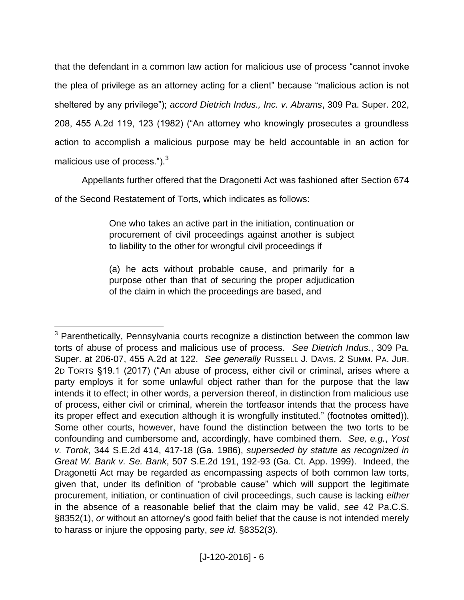that the defendant in a common law action for malicious use of process "cannot invoke the plea of privilege as an attorney acting for a client" because "malicious action is not sheltered by any privilege"); *accord Dietrich Indus., Inc. v. Abrams*, 309 Pa. Super. 202, 208, 455 A.2d 119, 123 (1982) ("An attorney who knowingly prosecutes a groundless action to accomplish a malicious purpose may be held accountable in an action for malicious use of process."). $3$ 

Appellants further offered that the Dragonetti Act was fashioned after Section 674 of the Second Restatement of Torts, which indicates as follows:

> One who takes an active part in the initiation, continuation or procurement of civil proceedings against another is subject to liability to the other for wrongful civil proceedings if

> (a) he acts without probable cause, and primarily for a purpose other than that of securing the proper adjudication of the claim in which the proceedings are based, and

<sup>&</sup>lt;sup>3</sup> Parenthetically, Pennsylvania courts recognize a distinction between the common law torts of abuse of process and malicious use of process. *See Dietrich Indus.*, 309 Pa. Super. at 206-07, 455 A.2d at 122. *See generally* RUSSELL J. DAVIS, 2 SUMM. PA. JUR. 2D TORTS §19.1 (2017) ("An abuse of process, either civil or criminal, arises where a party employs it for some unlawful object rather than for the purpose that the law intends it to effect; in other words, a perversion thereof, in distinction from malicious use of process, either civil or criminal, wherein the tortfeasor intends that the process have its proper effect and execution although it is wrongfully instituted." (footnotes omitted)). Some other courts, however, have found the distinction between the two torts to be confounding and cumbersome and, accordingly, have combined them. *See, e.g.*, *Yost v. Torok*, 344 S.E.2d 414, 417-18 (Ga. 1986), *superseded by statute as recognized in Great W. Bank v. Se. Bank*, 507 S.E.2d 191, 192-93 (Ga. Ct. App. 1999). Indeed, the Dragonetti Act may be regarded as encompassing aspects of both common law torts, given that, under its definition of "probable cause" which will support the legitimate procurement, initiation, or continuation of civil proceedings, such cause is lacking *either* in the absence of a reasonable belief that the claim may be valid, *see* 42 Pa.C.S. §8352(1), *or* without an attorney"s good faith belief that the cause is not intended merely to harass or injure the opposing party, *see id.* §8352(3).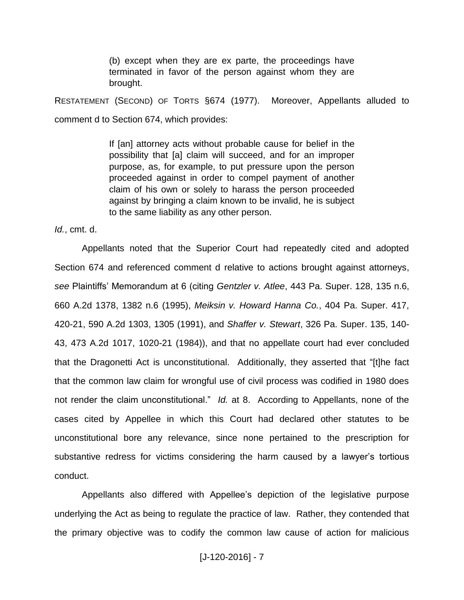(b) except when they are ex parte, the proceedings have terminated in favor of the person against whom they are brought.

RESTATEMENT (SECOND) OF TORTS §674 (1977). Moreover, Appellants alluded to comment d to Section 674, which provides:

> If [an] attorney acts without probable cause for belief in the possibility that [a] claim will succeed, and for an improper purpose, as, for example, to put pressure upon the person proceeded against in order to compel payment of another claim of his own or solely to harass the person proceeded against by bringing a claim known to be invalid, he is subject to the same liability as any other person.

*Id.*, cmt. d.

Appellants noted that the Superior Court had repeatedly cited and adopted Section 674 and referenced comment d relative to actions brought against attorneys, *see* Plaintiffs" Memorandum at 6 (citing *Gentzler v. Atlee*, 443 Pa. Super. 128, 135 n.6, 660 A.2d 1378, 1382 n.6 (1995), *Meiksin v. Howard Hanna Co.*, 404 Pa. Super. 417, 420-21, 590 A.2d 1303, 1305 (1991), and *Shaffer v. Stewart*, 326 Pa. Super. 135, 140- 43, 473 A.2d 1017, 1020-21 (1984)), and that no appellate court had ever concluded that the Dragonetti Act is unconstitutional. Additionally, they asserted that "[t]he fact that the common law claim for wrongful use of civil process was codified in 1980 does not render the claim unconstitutional." *Id.* at 8. According to Appellants, none of the cases cited by Appellee in which this Court had declared other statutes to be unconstitutional bore any relevance, since none pertained to the prescription for substantive redress for victims considering the harm caused by a lawyer's tortious conduct.

Appellants also differed with Appellee"s depiction of the legislative purpose underlying the Act as being to regulate the practice of law. Rather, they contended that the primary objective was to codify the common law cause of action for malicious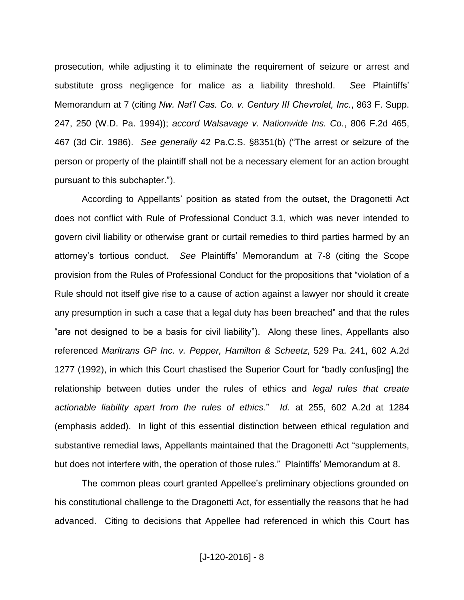prosecution, while adjusting it to eliminate the requirement of seizure or arrest and substitute gross negligence for malice as a liability threshold. *See* Plaintiffs" Memorandum at 7 (citing *Nw. Nat'l Cas. Co. v. Century III Chevrolet, Inc.*, 863 F. Supp. 247, 250 (W.D. Pa. 1994)); *accord Walsavage v. Nationwide Ins. Co.*, 806 F.2d 465, 467 (3d Cir. 1986). *See generally* 42 Pa.C.S. §8351(b) ("The arrest or seizure of the person or property of the plaintiff shall not be a necessary element for an action brought pursuant to this subchapter.").

According to Appellants' position as stated from the outset, the Dragonetti Act does not conflict with Rule of Professional Conduct 3.1, which was never intended to govern civil liability or otherwise grant or curtail remedies to third parties harmed by an attorney"s tortious conduct. *See* Plaintiffs" Memorandum at 7-8 (citing the Scope provision from the Rules of Professional Conduct for the propositions that "violation of a Rule should not itself give rise to a cause of action against a lawyer nor should it create any presumption in such a case that a legal duty has been breached" and that the rules "are not designed to be a basis for civil liability"). Along these lines, Appellants also referenced *Maritrans GP Inc. v. Pepper, Hamilton & Scheetz*, 529 Pa. 241, 602 A.2d 1277 (1992), in which this Court chastised the Superior Court for "badly confus[ing] the relationship between duties under the rules of ethics and *legal rules that create actionable liability apart from the rules of ethics*." *Id.* at 255, 602 A.2d at 1284 (emphasis added). In light of this essential distinction between ethical regulation and substantive remedial laws, Appellants maintained that the Dragonetti Act "supplements, but does not interfere with, the operation of those rules." Plaintiffs' Memorandum at 8.

The common pleas court granted Appellee"s preliminary objections grounded on his constitutional challenge to the Dragonetti Act, for essentially the reasons that he had advanced. Citing to decisions that Appellee had referenced in which this Court has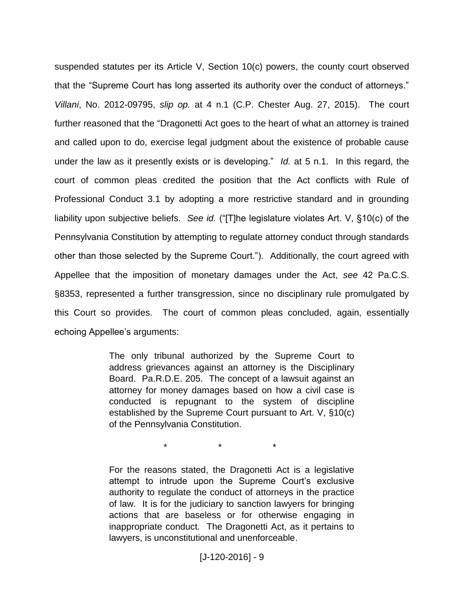suspended statutes per its Article V, Section 10(c) powers, the county court observed that the "Supreme Court has long asserted its authority over the conduct of attorneys." *Villani*, No. 2012-09795, *slip op.* at 4 n.1 (C.P. Chester Aug. 27, 2015). The court further reasoned that the "Dragonetti Act goes to the heart of what an attorney is trained and called upon to do, exercise legal judgment about the existence of probable cause under the law as it presently exists or is developing." *Id.* at 5 n.1. In this regard, the court of common pleas credited the position that the Act conflicts with Rule of Professional Conduct 3.1 by adopting a more restrictive standard and in grounding liability upon subjective beliefs. *See id.* ("[T]he legislature violates Art. V, §10(c) of the Pennsylvania Constitution by attempting to regulate attorney conduct through standards other than those selected by the Supreme Court."). Additionally, the court agreed with Appellee that the imposition of monetary damages under the Act, *see* 42 Pa.C.S. §8353, represented a further transgression, since no disciplinary rule promulgated by this Court so provides. The court of common pleas concluded, again, essentially echoing Appellee"s arguments:

> The only tribunal authorized by the Supreme Court to address grievances against an attorney is the Disciplinary Board. Pa.R.D.E. 205. The concept of a lawsuit against an attorney for money damages based on how a civil case is conducted is repugnant to the system of discipline established by the Supreme Court pursuant to Art. V, §10(c) of the Pennsylvania Constitution.

> > \* \* \*

For the reasons stated, the Dragonetti Act is a legislative attempt to intrude upon the Supreme Court's exclusive authority to regulate the conduct of attorneys in the practice of law. It is for the judiciary to sanction lawyers for bringing actions that are baseless or for otherwise engaging in inappropriate conduct. The Dragonetti Act, as it pertains to lawyers, is unconstitutional and unenforceable.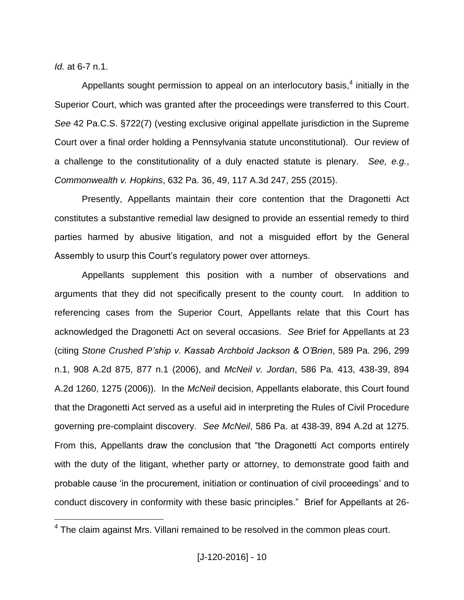*Id.* at 6-7 n.1.

 $\overline{a}$ 

Appellants sought permission to appeal on an interlocutory basis,<sup>4</sup> initially in the Superior Court, which was granted after the proceedings were transferred to this Court. *See* 42 Pa.C.S. §722(7) (vesting exclusive original appellate jurisdiction in the Supreme Court over a final order holding a Pennsylvania statute unconstitutional). Our review of a challenge to the constitutionality of a duly enacted statute is plenary. *See, e.g.*, *Commonwealth v. Hopkins*, 632 Pa. 36, 49, 117 A.3d 247, 255 (2015).

Presently, Appellants maintain their core contention that the Dragonetti Act constitutes a substantive remedial law designed to provide an essential remedy to third parties harmed by abusive litigation, and not a misguided effort by the General Assembly to usurp this Court's regulatory power over attorneys.

Appellants supplement this position with a number of observations and arguments that they did not specifically present to the county court. In addition to referencing cases from the Superior Court, Appellants relate that this Court has acknowledged the Dragonetti Act on several occasions. *See* Brief for Appellants at 23 (citing *Stone Crushed P'ship v. Kassab Archbold Jackson & O'Brien*, 589 Pa. 296, 299 n.1, 908 A.2d 875, 877 n.1 (2006), and *McNeil v. Jordan*, 586 Pa. 413, 438-39, 894 A.2d 1260, 1275 (2006)). In the *McNeil* decision, Appellants elaborate, this Court found that the Dragonetti Act served as a useful aid in interpreting the Rules of Civil Procedure governing pre-complaint discovery. *See McNeil*, 586 Pa. at 438-39, 894 A.2d at 1275. From this, Appellants draw the conclusion that "the Dragonetti Act comports entirely with the duty of the litigant, whether party or attorney, to demonstrate good faith and probable cause "in the procurement, initiation or continuation of civil proceedings" and to conduct discovery in conformity with these basic principles." Brief for Appellants at 26-

<sup>&</sup>lt;sup>4</sup> The claim against Mrs. Villani remained to be resolved in the common pleas court.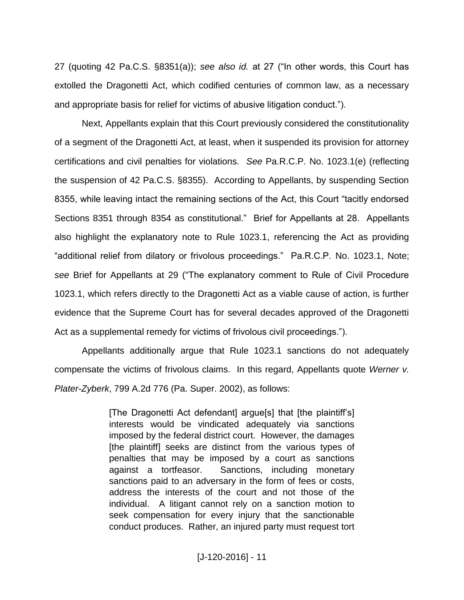27 (quoting 42 Pa.C.S. §8351(a)); *see also id.* at 27 ("In other words, this Court has extolled the Dragonetti Act, which codified centuries of common law, as a necessary and appropriate basis for relief for victims of abusive litigation conduct.").

Next, Appellants explain that this Court previously considered the constitutionality of a segment of the Dragonetti Act, at least, when it suspended its provision for attorney certifications and civil penalties for violations. *See* Pa.R.C.P. No. 1023.1(e) (reflecting the suspension of 42 Pa.C.S. §8355). According to Appellants, by suspending Section 8355, while leaving intact the remaining sections of the Act, this Court "tacitly endorsed Sections 8351 through 8354 as constitutional." Brief for Appellants at 28. Appellants also highlight the explanatory note to Rule 1023.1, referencing the Act as providing "additional relief from dilatory or frivolous proceedings." Pa.R.C.P. No. 1023.1, Note; *see* Brief for Appellants at 29 ("The explanatory comment to Rule of Civil Procedure 1023.1, which refers directly to the Dragonetti Act as a viable cause of action, is further evidence that the Supreme Court has for several decades approved of the Dragonetti Act as a supplemental remedy for victims of frivolous civil proceedings.").

Appellants additionally argue that Rule 1023.1 sanctions do not adequately compensate the victims of frivolous claims. In this regard, Appellants quote *Werner v. Plater-Zyberk*, 799 A.2d 776 (Pa. Super. 2002), as follows:

> [The Dragonetti Act defendant] argue[s] that [the plaintiff"s] interests would be vindicated adequately via sanctions imposed by the federal district court. However, the damages [the plaintiff] seeks are distinct from the various types of penalties that may be imposed by a court as sanctions against a tortfeasor. Sanctions, including monetary sanctions paid to an adversary in the form of fees or costs, address the interests of the court and not those of the individual. A litigant cannot rely on a sanction motion to seek compensation for every injury that the sanctionable conduct produces. Rather, an injured party must request tort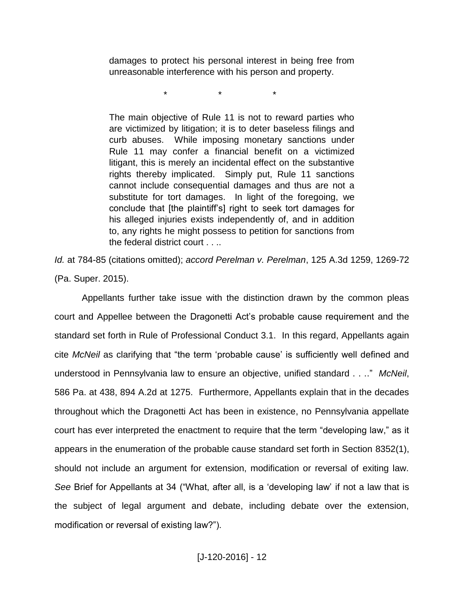damages to protect his personal interest in being free from unreasonable interference with his person and property.

\* \* \*

The main objective of Rule 11 is not to reward parties who are victimized by litigation; it is to deter baseless filings and curb abuses. While imposing monetary sanctions under Rule 11 may confer a financial benefit on a victimized litigant, this is merely an incidental effect on the substantive rights thereby implicated. Simply put, Rule 11 sanctions cannot include consequential damages and thus are not a substitute for tort damages. In light of the foregoing, we conclude that [the plaintiff"s] right to seek tort damages for his alleged injuries exists independently of, and in addition to, any rights he might possess to petition for sanctions from the federal district court . . ..

*Id.* at 784-85 (citations omitted); *accord Perelman v. Perelman*, 125 A.3d 1259, 1269-72 (Pa. Super. 2015).

Appellants further take issue with the distinction drawn by the common pleas court and Appellee between the Dragonetti Act"s probable cause requirement and the standard set forth in Rule of Professional Conduct 3.1. In this regard, Appellants again cite *McNeil* as clarifying that "the term "probable cause" is sufficiently well defined and understood in Pennsylvania law to ensure an objective, unified standard . . .." *McNeil*, 586 Pa. at 438, 894 A.2d at 1275. Furthermore, Appellants explain that in the decades throughout which the Dragonetti Act has been in existence, no Pennsylvania appellate court has ever interpreted the enactment to require that the term "developing law," as it appears in the enumeration of the probable cause standard set forth in Section 8352(1), should not include an argument for extension, modification or reversal of exiting law. *See* Brief for Appellants at 34 ("What, after all, is a "developing law" if not a law that is the subject of legal argument and debate, including debate over the extension, modification or reversal of existing law?").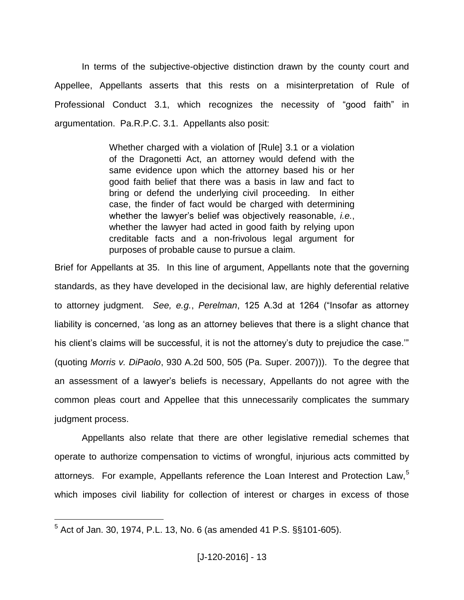In terms of the subjective-objective distinction drawn by the county court and Appellee, Appellants asserts that this rests on a misinterpretation of Rule of Professional Conduct 3.1, which recognizes the necessity of "good faith" in argumentation. Pa.R.P.C. 3.1. Appellants also posit:

> Whether charged with a violation of [Rule] 3.1 or a violation of the Dragonetti Act, an attorney would defend with the same evidence upon which the attorney based his or her good faith belief that there was a basis in law and fact to bring or defend the underlying civil proceeding. In either case, the finder of fact would be charged with determining whether the lawyer"s belief was objectively reasonable, *i.e.*, whether the lawyer had acted in good faith by relying upon creditable facts and a non-frivolous legal argument for purposes of probable cause to pursue a claim.

Brief for Appellants at 35. In this line of argument, Appellants note that the governing standards, as they have developed in the decisional law, are highly deferential relative to attorney judgment. *See, e.g.*, *Perelman*, 125 A.3d at 1264 ("Insofar as attorney liability is concerned, 'as long as an attorney believes that there is a slight chance that his client's claims will be successful, it is not the attorney's duty to prejudice the case." (quoting *Morris v. DiPaolo*, 930 A.2d 500, 505 (Pa. Super. 2007))). To the degree that an assessment of a lawyer"s beliefs is necessary, Appellants do not agree with the common pleas court and Appellee that this unnecessarily complicates the summary judgment process.

Appellants also relate that there are other legislative remedial schemes that operate to authorize compensation to victims of wrongful, injurious acts committed by attorneys. For example, Appellants reference the Loan Interest and Protection Law,<sup>5</sup> which imposes civil liability for collection of interest or charges in excess of those

 $5$  Act of Jan. 30, 1974, P.L. 13, No. 6 (as amended 41 P.S. §§101-605).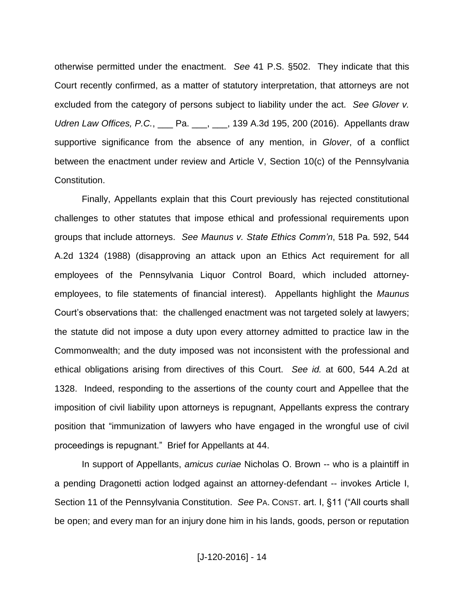otherwise permitted under the enactment. *See* 41 P.S. §502. They indicate that this Court recently confirmed, as a matter of statutory interpretation, that attorneys are not excluded from the category of persons subject to liability under the act. *See Glover v. Udren Law Offices, P.C.*, \_\_\_ Pa. \_\_\_, \_\_\_, 139 A.3d 195, 200 (2016). Appellants draw supportive significance from the absence of any mention, in *Glover*, of a conflict between the enactment under review and Article V, Section 10(c) of the Pennsylvania Constitution.

Finally, Appellants explain that this Court previously has rejected constitutional challenges to other statutes that impose ethical and professional requirements upon groups that include attorneys. *See Maunus v. State Ethics Comm'n*, 518 Pa. 592, 544 A.2d 1324 (1988) (disapproving an attack upon an Ethics Act requirement for all employees of the Pennsylvania Liquor Control Board, which included attorneyemployees, to file statements of financial interest). Appellants highlight the *Maunus* Court"s observations that: the challenged enactment was not targeted solely at lawyers; the statute did not impose a duty upon every attorney admitted to practice law in the Commonwealth; and the duty imposed was not inconsistent with the professional and ethical obligations arising from directives of this Court. *See id.* at 600, 544 A.2d at 1328. Indeed, responding to the assertions of the county court and Appellee that the imposition of civil liability upon attorneys is repugnant, Appellants express the contrary position that "immunization of lawyers who have engaged in the wrongful use of civil proceedings is repugnant." Brief for Appellants at 44.

In support of Appellants, *amicus curiae* Nicholas O. Brown -- who is a plaintiff in a pending Dragonetti action lodged against an attorney-defendant -- invokes Article I, Section 11 of the Pennsylvania Constitution. *See* PA. CONST. art. I, §11 ("All courts shall be open; and every man for an injury done him in his lands, goods, person or reputation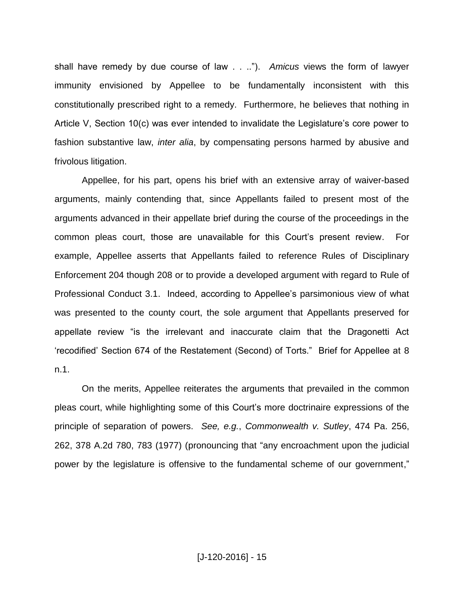shall have remedy by due course of law . . .."). *Amicus* views the form of lawyer immunity envisioned by Appellee to be fundamentally inconsistent with this constitutionally prescribed right to a remedy. Furthermore, he believes that nothing in Article V, Section 10(c) was ever intended to invalidate the Legislature"s core power to fashion substantive law, *inter alia*, by compensating persons harmed by abusive and frivolous litigation.

Appellee, for his part, opens his brief with an extensive array of waiver-based arguments, mainly contending that, since Appellants failed to present most of the arguments advanced in their appellate brief during the course of the proceedings in the common pleas court, those are unavailable for this Court"s present review. For example, Appellee asserts that Appellants failed to reference Rules of Disciplinary Enforcement 204 though 208 or to provide a developed argument with regard to Rule of Professional Conduct 3.1. Indeed, according to Appellee"s parsimonious view of what was presented to the county court, the sole argument that Appellants preserved for appellate review "is the irrelevant and inaccurate claim that the Dragonetti Act "recodified" Section 674 of the Restatement (Second) of Torts." Brief for Appellee at 8 n.1.

On the merits, Appellee reiterates the arguments that prevailed in the common pleas court, while highlighting some of this Court"s more doctrinaire expressions of the principle of separation of powers. *See, e.g.*, *Commonwealth v. Sutley*, 474 Pa. 256, 262, 378 A.2d 780, 783 (1977) (pronouncing that "any encroachment upon the judicial power by the legislature is offensive to the fundamental scheme of our government,"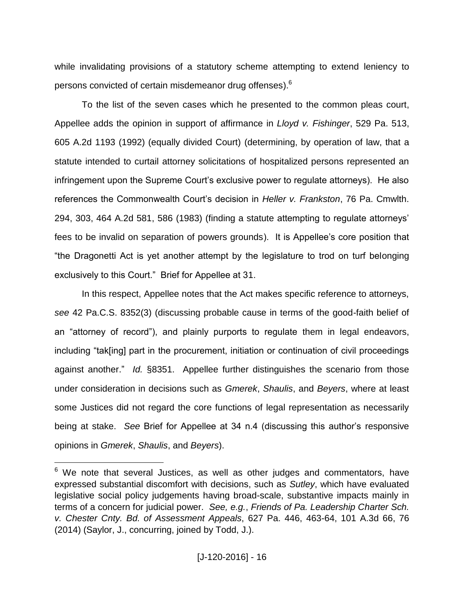while invalidating provisions of a statutory scheme attempting to extend leniency to persons convicted of certain misdemeanor drug offenses).<sup>6</sup>

To the list of the seven cases which he presented to the common pleas court, Appellee adds the opinion in support of affirmance in *Lloyd v. Fishinger*, 529 Pa. 513, 605 A.2d 1193 (1992) (equally divided Court) (determining, by operation of law, that a statute intended to curtail attorney solicitations of hospitalized persons represented an infringement upon the Supreme Court"s exclusive power to regulate attorneys). He also references the Commonwealth Court"s decision in *Heller v. Frankston*, 76 Pa. Cmwlth. 294, 303, 464 A.2d 581, 586 (1983) (finding a statute attempting to regulate attorneys" fees to be invalid on separation of powers grounds). It is Appellee"s core position that "the Dragonetti Act is yet another attempt by the legislature to trod on turf belonging exclusively to this Court." Brief for Appellee at 31.

In this respect, Appellee notes that the Act makes specific reference to attorneys, *see* 42 Pa.C.S. 8352(3) (discussing probable cause in terms of the good-faith belief of an "attorney of record"), and plainly purports to regulate them in legal endeavors, including "tak[ing] part in the procurement, initiation or continuation of civil proceedings against another." *Id.* §8351. Appellee further distinguishes the scenario from those under consideration in decisions such as *Gmerek*, *Shaulis*, and *Beyers*, where at least some Justices did not regard the core functions of legal representation as necessarily being at stake. *See* Brief for Appellee at 34 n.4 (discussing this author"s responsive opinions in *Gmerek*, *Shaulis*, and *Beyers*).

 $6$  We note that several Justices, as well as other judges and commentators, have expressed substantial discomfort with decisions, such as *Sutley*, which have evaluated legislative social policy judgements having broad-scale, substantive impacts mainly in terms of a concern for judicial power. *See, e.g.*, *Friends of Pa. Leadership Charter Sch. v. Chester Cnty. Bd. of Assessment Appeals*, 627 Pa. 446, 463-64, 101 A.3d 66, 76 (2014) (Saylor, J., concurring, joined by Todd, J.).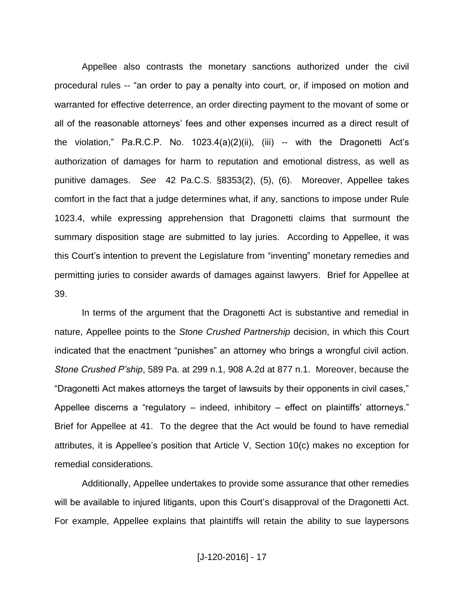Appellee also contrasts the monetary sanctions authorized under the civil procedural rules -- "an order to pay a penalty into court, or, if imposed on motion and warranted for effective deterrence, an order directing payment to the movant of some or all of the reasonable attorneys' fees and other expenses incurred as a direct result of the violation," Pa.R.C.P. No. 1023.4(a)(2)(ii), (iii) -- with the Dragonetti Act"s authorization of damages for harm to reputation and emotional distress, as well as punitive damages. *See* 42 Pa.C.S. §8353(2), (5), (6). Moreover, Appellee takes comfort in the fact that a judge determines what, if any, sanctions to impose under Rule 1023.4, while expressing apprehension that Dragonetti claims that surmount the summary disposition stage are submitted to lay juries. According to Appellee, it was this Court"s intention to prevent the Legislature from "inventing" monetary remedies and permitting juries to consider awards of damages against lawyers. Brief for Appellee at 39.

In terms of the argument that the Dragonetti Act is substantive and remedial in nature, Appellee points to the *Stone Crushed Partnership* decision, in which this Court indicated that the enactment "punishes" an attorney who brings a wrongful civil action. *Stone Crushed P'ship*, 589 Pa. at 299 n.1, 908 A.2d at 877 n.1. Moreover, because the "Dragonetti Act makes attorneys the target of lawsuits by their opponents in civil cases," Appellee discerns a "regulatory – indeed, inhibitory – effect on plaintiffs' attorneys." Brief for Appellee at 41. To the degree that the Act would be found to have remedial attributes, it is Appellee"s position that Article V, Section 10(c) makes no exception for remedial considerations.

Additionally, Appellee undertakes to provide some assurance that other remedies will be available to injured litigants, upon this Court's disapproval of the Dragonetti Act. For example, Appellee explains that plaintiffs will retain the ability to sue laypersons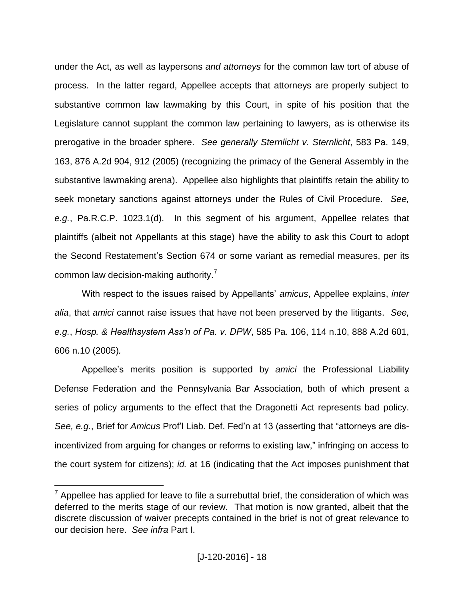under the Act, as well as laypersons *and attorneys* for the common law tort of abuse of process. In the latter regard, Appellee accepts that attorneys are properly subject to substantive common law lawmaking by this Court, in spite of his position that the Legislature cannot supplant the common law pertaining to lawyers, as is otherwise its prerogative in the broader sphere. *See generally Sternlicht v. Sternlicht*, 583 Pa. 149, 163, 876 A.2d 904, 912 (2005) (recognizing the primacy of the General Assembly in the substantive lawmaking arena). Appellee also highlights that plaintiffs retain the ability to seek monetary sanctions against attorneys under the Rules of Civil Procedure. *See, e.g.*, Pa.R.C.P. 1023.1(d). In this segment of his argument, Appellee relates that plaintiffs (albeit not Appellants at this stage) have the ability to ask this Court to adopt the Second Restatement"s Section 674 or some variant as remedial measures, per its common law decision-making authority.<sup>7</sup>

With respect to the issues raised by Appellants" *amicus*, Appellee explains, *inter alia*, that *amici* cannot raise issues that have not been preserved by the litigants. *See, e.g.*, *Hosp. & Healthsystem Ass'n of Pa. v. DPW*, 585 Pa. 106, 114 n.10, 888 A.2d 601, 606 n.10 (2005)*.*

Appellee"s merits position is supported by *amici* the Professional Liability Defense Federation and the Pennsylvania Bar Association, both of which present a series of policy arguments to the effect that the Dragonetti Act represents bad policy. *See, e.g.*, Brief for *Amicus* Prof"l Liab. Def. Fed"n at 13 (asserting that "attorneys are disincentivized from arguing for changes or reforms to existing law," infringing on access to the court system for citizens); *id.* at 16 (indicating that the Act imposes punishment that

 $7$  Appellee has applied for leave to file a surrebuttal brief, the consideration of which was deferred to the merits stage of our review. That motion is now granted, albeit that the discrete discussion of waiver precepts contained in the brief is not of great relevance to our decision here. *See infra* Part I.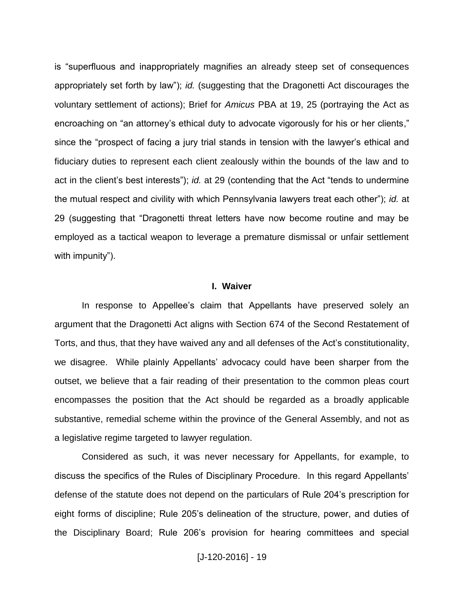is "superfluous and inappropriately magnifies an already steep set of consequences appropriately set forth by law"); *id.* (suggesting that the Dragonetti Act discourages the voluntary settlement of actions); Brief for *Amicus* PBA at 19, 25 (portraying the Act as encroaching on "an attorney's ethical duty to advocate vigorously for his or her clients," since the "prospect of facing a jury trial stands in tension with the lawyer"s ethical and fiduciary duties to represent each client zealously within the bounds of the law and to act in the client"s best interests"); *id.* at 29 (contending that the Act "tends to undermine the mutual respect and civility with which Pennsylvania lawyers treat each other"); *id.* at 29 (suggesting that "Dragonetti threat letters have now become routine and may be employed as a tactical weapon to leverage a premature dismissal or unfair settlement with impunity").

#### **I. Waiver**

In response to Appellee"s claim that Appellants have preserved solely an argument that the Dragonetti Act aligns with Section 674 of the Second Restatement of Torts, and thus, that they have waived any and all defenses of the Act"s constitutionality, we disagree. While plainly Appellants' advocacy could have been sharper from the outset, we believe that a fair reading of their presentation to the common pleas court encompasses the position that the Act should be regarded as a broadly applicable substantive, remedial scheme within the province of the General Assembly, and not as a legislative regime targeted to lawyer regulation.

Considered as such, it was never necessary for Appellants, for example, to discuss the specifics of the Rules of Disciplinary Procedure. In this regard Appellants" defense of the statute does not depend on the particulars of Rule 204"s prescription for eight forms of discipline; Rule 205"s delineation of the structure, power, and duties of the Disciplinary Board; Rule 206"s provision for hearing committees and special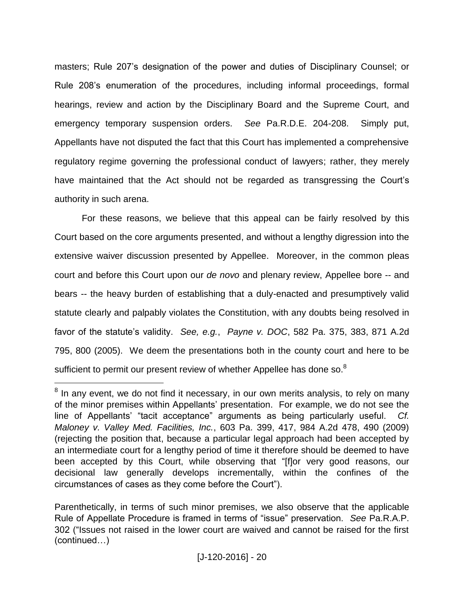masters; Rule 207"s designation of the power and duties of Disciplinary Counsel; or Rule 208"s enumeration of the procedures, including informal proceedings, formal hearings, review and action by the Disciplinary Board and the Supreme Court, and emergency temporary suspension orders. *See* Pa.R.D.E. 204-208. Simply put, Appellants have not disputed the fact that this Court has implemented a comprehensive regulatory regime governing the professional conduct of lawyers; rather, they merely have maintained that the Act should not be regarded as transgressing the Court"s authority in such arena.

For these reasons, we believe that this appeal can be fairly resolved by this Court based on the core arguments presented, and without a lengthy digression into the extensive waiver discussion presented by Appellee. Moreover, in the common pleas court and before this Court upon our *de novo* and plenary review, Appellee bore -- and bears -- the heavy burden of establishing that a duly-enacted and presumptively valid statute clearly and palpably violates the Constitution, with any doubts being resolved in favor of the statute"s validity. *See, e.g.*, *Payne v. DOC*, 582 Pa. 375, 383, 871 A.2d 795, 800 (2005). We deem the presentations both in the county court and here to be sufficient to permit our present review of whether Appellee has done so.<sup>8</sup>

<sup>&</sup>lt;sup>8</sup> In any event, we do not find it necessary, in our own merits analysis, to rely on many of the minor premises within Appellants" presentation. For example, we do not see the line of Appellants" "tacit acceptance" arguments as being particularly useful. *Cf. Maloney v. Valley Med. Facilities, Inc.*, 603 Pa. 399, 417, 984 A.2d 478, 490 (2009) (rejecting the position that, because a particular legal approach had been accepted by an intermediate court for a lengthy period of time it therefore should be deemed to have been accepted by this Court, while observing that "[f]or very good reasons, our decisional law generally develops incrementally, within the confines of the circumstances of cases as they come before the Court").

Parenthetically, in terms of such minor premises, we also observe that the applicable Rule of Appellate Procedure is framed in terms of "issue" preservation. *See* Pa.R.A.P. 302 ("Issues not raised in the lower court are waived and cannot be raised for the first (continued…)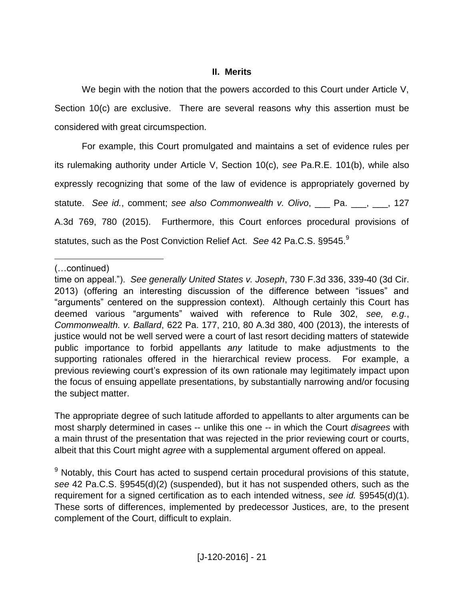### **II. Merits**

We begin with the notion that the powers accorded to this Court under Article V, Section 10(c) are exclusive. There are several reasons why this assertion must be considered with great circumspection.

For example, this Court promulgated and maintains a set of evidence rules per its rulemaking authority under Article V, Section 10(c), *see* Pa.R.E. 101(b), while also expressly recognizing that some of the law of evidence is appropriately governed by statute. *See id.*, comment; *see also Commonwealth v. Olivo*, \_\_\_ Pa. \_\_\_, \_\_\_, 127 A.3d 769, 780 (2015). Furthermore, this Court enforces procedural provisions of statutes, such as the Post Conviction Relief Act. *See* 42 Pa.C.S. §9545.<sup>9</sup>

 $\overline{a}$ 

The appropriate degree of such latitude afforded to appellants to alter arguments can be most sharply determined in cases -- unlike this one -- in which the Court *disagrees* with a main thrust of the presentation that was rejected in the prior reviewing court or courts, albeit that this Court might *agree* with a supplemental argument offered on appeal.

<sup>9</sup> Notably, this Court has acted to suspend certain procedural provisions of this statute, *see* 42 Pa.C.S. §9545(d)(2) (suspended), but it has not suspended others, such as the requirement for a signed certification as to each intended witness, *see id.* §9545(d)(1). These sorts of differences, implemented by predecessor Justices, are, to the present complement of the Court, difficult to explain.

<sup>(…</sup>continued)

time on appeal."). *See generally United States v. Joseph*, 730 F.3d 336, 339-40 (3d Cir. 2013) (offering an interesting discussion of the difference between "issues" and "arguments" centered on the suppression context). Although certainly this Court has deemed various "arguments" waived with reference to Rule 302, *see, e.g.*, *Commonwealth. v. Ballard*, 622 Pa. 177, 210, 80 A.3d 380, 400 (2013), the interests of justice would not be well served were a court of last resort deciding matters of statewide public importance to forbid appellants *any* latitude to make adjustments to the supporting rationales offered in the hierarchical review process. For example, a previous reviewing court's expression of its own rationale may legitimately impact upon the focus of ensuing appellate presentations, by substantially narrowing and/or focusing the subject matter.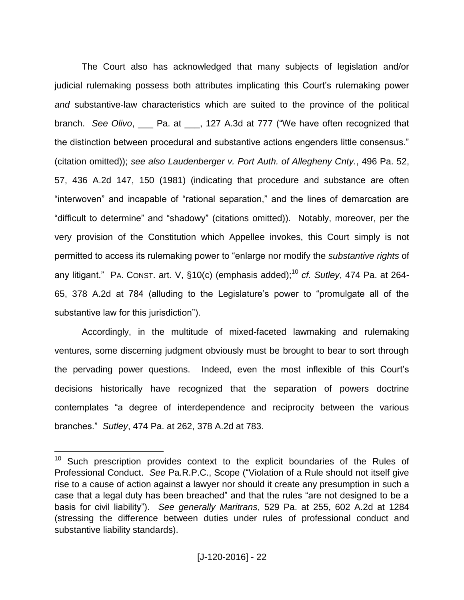The Court also has acknowledged that many subjects of legislation and/or judicial rulemaking possess both attributes implicating this Court"s rulemaking power *and* substantive-law characteristics which are suited to the province of the political branch. *See Olivo*, \_\_\_ Pa. at \_\_\_, 127 A.3d at 777 ("We have often recognized that the distinction between procedural and substantive actions engenders little consensus." (citation omitted)); *see also Laudenberger v. Port Auth. of Allegheny Cnty.*, 496 Pa. 52, 57, 436 A.2d 147, 150 (1981) (indicating that procedure and substance are often "interwoven" and incapable of "rational separation," and the lines of demarcation are "difficult to determine" and "shadowy" (citations omitted)). Notably, moreover, per the very provision of the Constitution which Appellee invokes, this Court simply is not permitted to access its rulemaking power to "enlarge nor modify the *substantive rights* of any litigant." PA. CONST. art. V, §10(c) (emphasis added);<sup>10</sup> *cf. Sutley*, 474 Pa. at 264-65, 378 A.2d at 784 (alluding to the Legislature"s power to "promulgate all of the substantive law for this jurisdiction").

Accordingly, in the multitude of mixed-faceted lawmaking and rulemaking ventures, some discerning judgment obviously must be brought to bear to sort through the pervading power questions. Indeed, even the most inflexible of this Court"s decisions historically have recognized that the separation of powers doctrine contemplates "a degree of interdependence and reciprocity between the various branches." *Sutley*, 474 Pa. at 262, 378 A.2d at 783.

 $10$  Such prescription provides context to the explicit boundaries of the Rules of Professional Conduct. *See* Pa.R.P.C., Scope ("Violation of a Rule should not itself give rise to a cause of action against a lawyer nor should it create any presumption in such a case that a legal duty has been breached" and that the rules "are not designed to be a basis for civil liability"). *See generally Maritrans*, 529 Pa. at 255, 602 A.2d at 1284 (stressing the difference between duties under rules of professional conduct and substantive liability standards).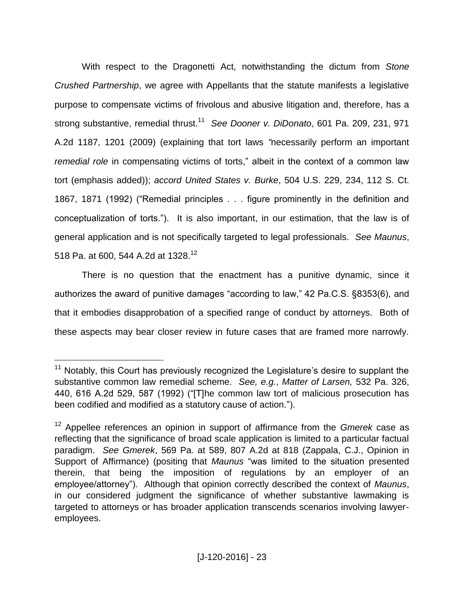With respect to the Dragonetti Act, notwithstanding the dictum from *Stone Crushed Partnership*, we agree with Appellants that the statute manifests a legislative purpose to compensate victims of frivolous and abusive litigation and, therefore, has a strong substantive, remedial thrust.<sup>11</sup> *See Dooner v. DiDonato*, 601 Pa. 209, 231, 971 A.2d 1187, 1201 (2009) (explaining that tort laws *"*necessarily perform an important *remedial role* in compensating victims of torts," albeit in the context of a common law tort (emphasis added)); *accord United States v. Burke*, 504 U.S. 229, 234, 112 S. Ct. 1867, 1871 (1992) ("Remedial principles . . . figure prominently in the definition and conceptualization of torts."). It is also important, in our estimation, that the law is of general application and is not specifically targeted to legal professionals. *See Maunus*, 518 Pa. at 600, 544 A.2d at 1328. 12

There is no question that the enactment has a punitive dynamic, since it authorizes the award of punitive damages "according to law," 42 Pa.C.S. §8353(6), and that it embodies disapprobation of a specified range of conduct by attorneys. Both of these aspects may bear closer review in future cases that are framed more narrowly.

<sup>&</sup>lt;sup>11</sup> Notably, this Court has previously recognized the Legislature's desire to supplant the substantive common law remedial scheme. *See, e.g.*, *Matter of Larsen,* 532 Pa. 326, 440, 616 A.2d 529, 587 (1992) ("[T]he common law tort of malicious prosecution has been codified and modified as a statutory cause of action.").

<sup>12</sup> Appellee references an opinion in support of affirmance from the *Gmerek* case as reflecting that the significance of broad scale application is limited to a particular factual paradigm. *See Gmerek*, 569 Pa. at 589, 807 A.2d at 818 (Zappala, C.J., Opinion in Support of Affirmance) (positing that *Maunus* "was limited to the situation presented therein, that being the imposition of regulations by an employer of an employee/attorney"). Although that opinion correctly described the context of *Maunus*, in our considered judgment the significance of whether substantive lawmaking is targeted to attorneys or has broader application transcends scenarios involving lawyeremployees.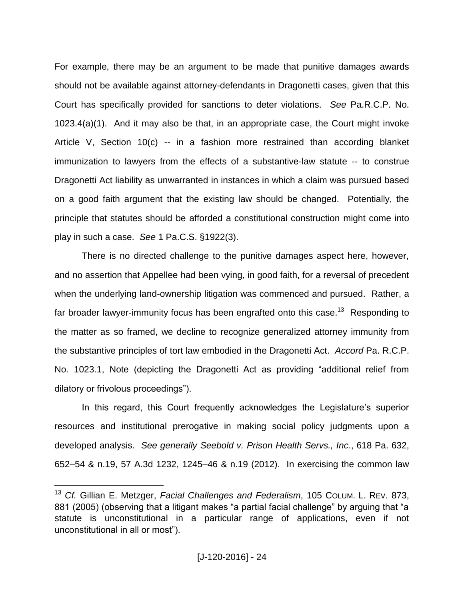For example, there may be an argument to be made that punitive damages awards should not be available against attorney-defendants in Dragonetti cases, given that this Court has specifically provided for sanctions to deter violations. *See* Pa.R.C.P. No. 1023.4(a)(1). And it may also be that, in an appropriate case, the Court might invoke Article V, Section 10(c) -- in a fashion more restrained than according blanket immunization to lawyers from the effects of a substantive-law statute -- to construe Dragonetti Act liability as unwarranted in instances in which a claim was pursued based on a good faith argument that the existing law should be changed. Potentially, the principle that statutes should be afforded a constitutional construction might come into play in such a case. *See* 1 Pa.C.S. §1922(3).

There is no directed challenge to the punitive damages aspect here, however, and no assertion that Appellee had been vying, in good faith, for a reversal of precedent when the underlying land-ownership litigation was commenced and pursued. Rather, a far broader lawyer-immunity focus has been engrafted onto this case.<sup>13</sup> Responding to the matter as so framed, we decline to recognize generalized attorney immunity from the substantive principles of tort law embodied in the Dragonetti Act. *Accord* Pa. R.C.P. No. 1023.1, Note (depicting the Dragonetti Act as providing "additional relief from dilatory or frivolous proceedings").

In this regard, this Court frequently acknowledges the Legislature's superior resources and institutional prerogative in making social policy judgments upon a developed analysis. *See generally Seebold v. Prison Health Servs., Inc.*, 618 Pa. 632, 652–54 & n.19, 57 A.3d 1232, 1245–46 & n.19 (2012). In exercising the common law

<sup>13</sup> *Cf.* Gillian E. Metzger, *Facial Challenges and Federalism*, 105 COLUM. L. REV. 873, 881 (2005) (observing that a litigant makes "a partial facial challenge" by arguing that "a statute is unconstitutional in a particular range of applications, even if not unconstitutional in all or most").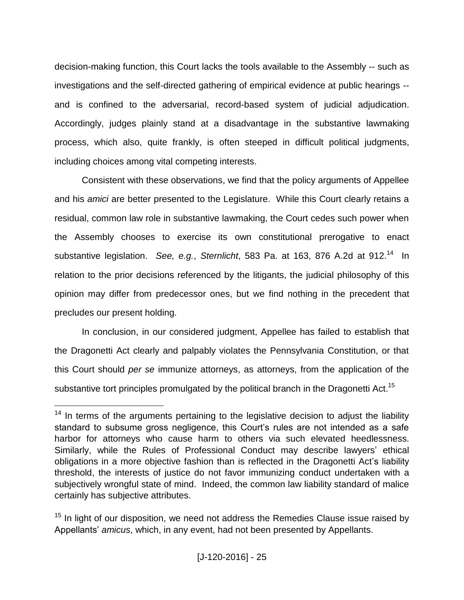decision-making function, this Court lacks the tools available to the Assembly -- such as investigations and the self-directed gathering of empirical evidence at public hearings - and is confined to the adversarial, record-based system of judicial adjudication. Accordingly, judges plainly stand at a disadvantage in the substantive lawmaking process, which also, quite frankly, is often steeped in difficult political judgments, including choices among vital competing interests.

Consistent with these observations, we find that the policy arguments of Appellee and his *amici* are better presented to the Legislature. While this Court clearly retains a residual, common law role in substantive lawmaking, the Court cedes such power when the Assembly chooses to exercise its own constitutional prerogative to enact substantive legislation. See, e.g., Sternlicht, 583 Pa. at 163, 876 A.2d at 912.<sup>14</sup> In relation to the prior decisions referenced by the litigants, the judicial philosophy of this opinion may differ from predecessor ones, but we find nothing in the precedent that precludes our present holding.

In conclusion, in our considered judgment, Appellee has failed to establish that the Dragonetti Act clearly and palpably violates the Pennsylvania Constitution, or that this Court should *per se* immunize attorneys, as attorneys, from the application of the substantive tort principles promulgated by the political branch in the Dragonetti Act.<sup>15</sup>

 $14$  In terms of the arguments pertaining to the legislative decision to adjust the liability standard to subsume gross negligence, this Court's rules are not intended as a safe harbor for attorneys who cause harm to others via such elevated heedlessness. Similarly, while the Rules of Professional Conduct may describe lawyers' ethical obligations in a more objective fashion than is reflected in the Dragonetti Act"s liability threshold, the interests of justice do not favor immunizing conduct undertaken with a subjectively wrongful state of mind. Indeed, the common law liability standard of malice certainly has subjective attributes.

 $15$  In light of our disposition, we need not address the Remedies Clause issue raised by Appellants" *amicus*, which, in any event, had not been presented by Appellants.